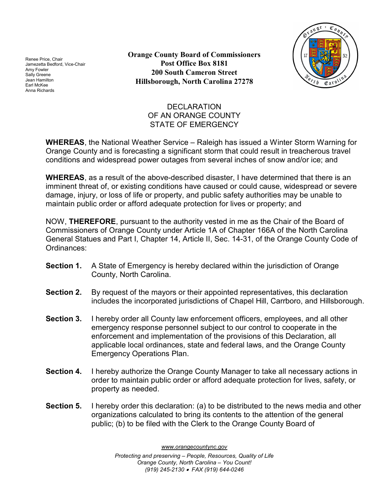Renee Price, Chair Jamezetta Bedford, Vice-Chair Amy Fowler Sally Greene Jean Hamilton Earl McKee Anna Richards

Orange County Board of Commissioners Post Office Box 8181 200 South Cameron Street Hillsborough, North Carolina 27278



## **DECLARATION** OF AN ORANGE COUNTY STATE OF EMERGENCY

WHEREAS, the National Weather Service – Raleigh has issued a Winter Storm Warning for Orange County and is forecasting a significant storm that could result in treacherous travel conditions and widespread power outages from several inches of snow and/or ice; and

WHEREAS, as a result of the above-described disaster, I have determined that there is an imminent threat of, or existing conditions have caused or could cause, widespread or severe damage, injury, or loss of life or property, and public safety authorities may be unable to maintain public order or afford adequate protection for lives or property; and

NOW, **THEREFORE**, pursuant to the authority vested in me as the Chair of the Board of Commissioners of Orange County under Article 1A of Chapter 166A of the North Carolina General Statues and Part I, Chapter 14, Article II, Sec. 14-31, of the Orange County Code of Ordinances:

- Section 1. A State of Emergency is hereby declared within the jurisdiction of Orange County, North Carolina.
- Section 2. By request of the mayors or their appointed representatives, this declaration includes the incorporated jurisdictions of Chapel Hill, Carrboro, and Hillsborough.
- Section 3. I hereby order all County law enforcement officers, employees, and all other emergency response personnel subject to our control to cooperate in the enforcement and implementation of the provisions of this Declaration, all applicable local ordinances, state and federal laws, and the Orange County Emergency Operations Plan.
- Section 4. I hereby authorize the Orange County Manager to take all necessary actions in order to maintain public order or afford adequate protection for lives, safety, or property as needed.
- Section 5. I hereby order this declaration: (a) to be distributed to the news media and other organizations calculated to bring its contents to the attention of the general public; (b) to be filed with the Clerk to the Orange County Board of

www.orangecountync.gov